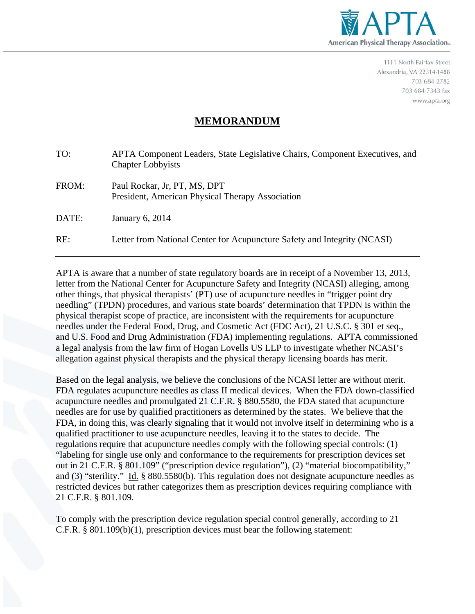

1111 North Fairfax Street Alexandria, VA 22314-1488 703 684 2782 703 684 7343 fax www.apta.org

## **MEMORANDUM**

| TO:   | APTA Component Leaders, State Legislative Chairs, Component Executives, and<br><b>Chapter Lobbyists</b> |
|-------|---------------------------------------------------------------------------------------------------------|
| FROM: | Paul Rockar, Jr, PT, MS, DPT<br>President, American Physical Therapy Association                        |
| DATE: | January 6, 2014                                                                                         |
| RE:   | Letter from National Center for Acupuncture Safety and Integrity (NCASI)                                |
|       |                                                                                                         |

APTA is aware that a number of state regulatory boards are in receipt of a November 13, 2013, letter from the National Center for Acupuncture Safety and Integrity (NCASI) alleging, among other things, that physical therapists' (PT) use of acupuncture needles in "trigger point dry needling" (TPDN) procedures, and various state boards' determination that TPDN is within the physical therapist scope of practice, are inconsistent with the requirements for acupuncture needles under the Federal Food, Drug, and Cosmetic Act (FDC Act), 21 U.S.C. § 301 et seq., and U.S. Food and Drug Administration (FDA) implementing regulations. APTA commissioned a legal analysis from the law firm of Hogan Lovells US LLP to investigate whether NCASI's allegation against physical therapists and the physical therapy licensing boards has merit.

Based on the legal analysis, we believe the conclusions of the NCASI letter are without merit. FDA regulates acupuncture needles as class II medical devices. When the FDA down-classified acupuncture needles and promulgated 21 C.F.R. § 880.5580, the FDA stated that acupuncture needles are for use by qualified practitioners as determined by the states. We believe that the FDA, in doing this, was clearly signaling that it would not involve itself in determining who is a qualified practitioner to use acupuncture needles, leaving it to the states to decide. The regulations require that acupuncture needles comply with the following special controls: (1) "labeling for single use only and conformance to the requirements for prescription devices set out in 21 C.F.R. § 801.109" ("prescription device regulation"), (2) "material biocompatibility," and (3) "sterility." Id. § 880.5580(b). This regulation does not designate acupuncture needles as restricted devices but rather categorizes them as prescription devices requiring compliance with 21 C.F.R. § 801.109.

To comply with the prescription device regulation special control generally, according to 21 C.F.R. § 801.109(b)(1), prescription devices must bear the following statement: